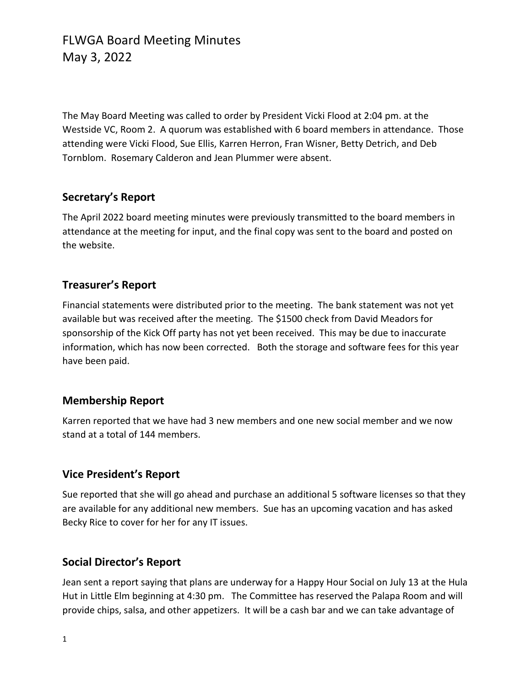The May Board Meeting was called to order by President Vicki Flood at 2:04 pm. at the Westside VC, Room 2. A quorum was established with 6 board members in attendance. Those attending were Vicki Flood, Sue Ellis, Karren Herron, Fran Wisner, Betty Detrich, and Deb Tornblom. Rosemary Calderon and Jean Plummer were absent.

#### **Secretary's Report**

The April 2022 board meeting minutes were previously transmitted to the board members in attendance at the meeting for input, and the final copy was sent to the board and posted on the website.

### **Treasurer's Report**

Financial statements were distributed prior to the meeting. The bank statement was not yet available but was received after the meeting. The \$1500 check from David Meadors for sponsorship of the Kick Off party has not yet been received. This may be due to inaccurate information, which has now been corrected. Both the storage and software fees for this year have been paid.

#### **Membership Report**

Karren reported that we have had 3 new members and one new social member and we now stand at a total of 144 members.

### **Vice President's Report**

Sue reported that she will go ahead and purchase an additional 5 software licenses so that they are available for any additional new members. Sue has an upcoming vacation and has asked Becky Rice to cover for her for any IT issues.

### **Social Director's Report**

Jean sent a report saying that plans are underway for a Happy Hour Social on July 13 at the Hula Hut in Little Elm beginning at 4:30 pm. The Committee has reserved the Palapa Room and will provide chips, salsa, and other appetizers. It will be a cash bar and we can take advantage of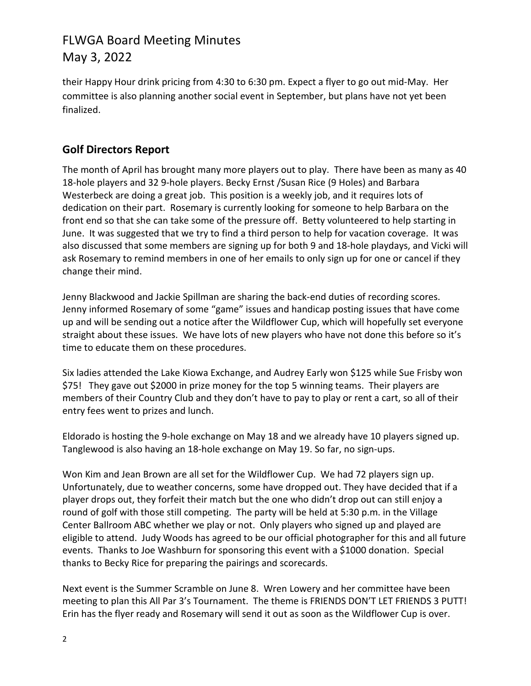# FLWGA Board Meeting Minutes May 3, 2022

their Happy Hour drink pricing from 4:30 to 6:30 pm. Expect a flyer to go out mid-May. Her committee is also planning another social event in September, but plans have not yet been finalized.

## **Golf Directors Report**

The month of April has brought many more players out to play. There have been as many as 40 18-hole players and 32 9-hole players. Becky Ernst /Susan Rice (9 Holes) and Barbara Westerbeck are doing a great job. This position is a weekly job, and it requires lots of dedication on their part. Rosemary is currently looking for someone to help Barbara on the front end so that she can take some of the pressure off. Betty volunteered to help starting in June. It was suggested that we try to find a third person to help for vacation coverage. It was also discussed that some members are signing up for both 9 and 18-hole playdays, and Vicki will ask Rosemary to remind members in one of her emails to only sign up for one or cancel if they change their mind.

Jenny Blackwood and Jackie Spillman are sharing the back-end duties of recording scores. Jenny informed Rosemary of some "game" issues and handicap posting issues that have come up and will be sending out a notice after the Wildflower Cup, which will hopefully set everyone straight about these issues. We have lots of new players who have not done this before so it's time to educate them on these procedures.

Six ladies attended the Lake Kiowa Exchange, and Audrey Early won \$125 while Sue Frisby won \$75! They gave out \$2000 in prize money for the top 5 winning teams. Their players are members of their Country Club and they don't have to pay to play or rent a cart, so all of their entry fees went to prizes and lunch.

Eldorado is hosting the 9-hole exchange on May 18 and we already have 10 players signed up. Tanglewood is also having an 18-hole exchange on May 19. So far, no sign-ups.

Won Kim and Jean Brown are all set for the Wildflower Cup. We had 72 players sign up. Unfortunately, due to weather concerns, some have dropped out. They have decided that if a player drops out, they forfeit their match but the one who didn't drop out can still enjoy a round of golf with those still competing. The party will be held at 5:30 p.m. in the Village Center Ballroom ABC whether we play or not. Only players who signed up and played are eligible to attend. Judy Woods has agreed to be our official photographer for this and all future events. Thanks to Joe Washburn for sponsoring this event with a \$1000 donation. Special thanks to Becky Rice for preparing the pairings and scorecards.

Next event is the Summer Scramble on June 8. Wren Lowery and her committee have been meeting to plan this All Par 3's Tournament. The theme is FRIENDS DON'T LET FRIENDS 3 PUTT! Erin has the flyer ready and Rosemary will send it out as soon as the Wildflower Cup is over.